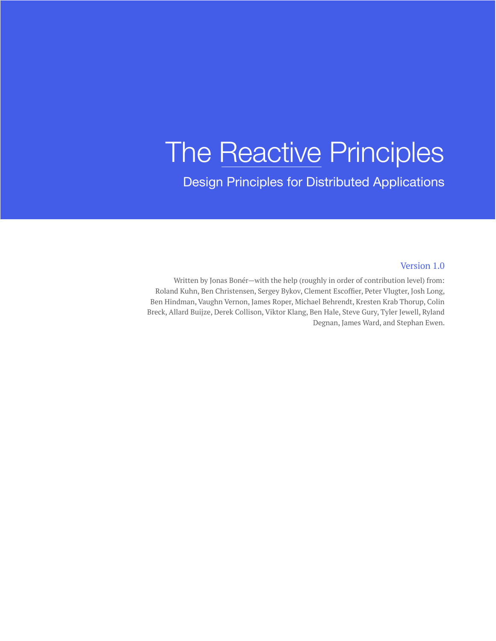# The Reactive Principles

Design Principles for Distributed Applications

#### Version 1.0

Written by Jonas Bonér—with the help (roughly in order of contribution level) from: Roland Kuhn, Ben Christensen, Sergey Bykov, Clement Escoffier, Peter Vlugter, Josh Long, Ben Hindman, Vaughn Vernon, James Roper, Michael Behrendt, Kresten Krab Thorup, Colin Breck, Allard Buijze, Derek Collison, Viktor Klang, Ben Hale, Steve Gury, Tyler Jewell, Ryland Degnan, James Ward, and Stephan Ewen.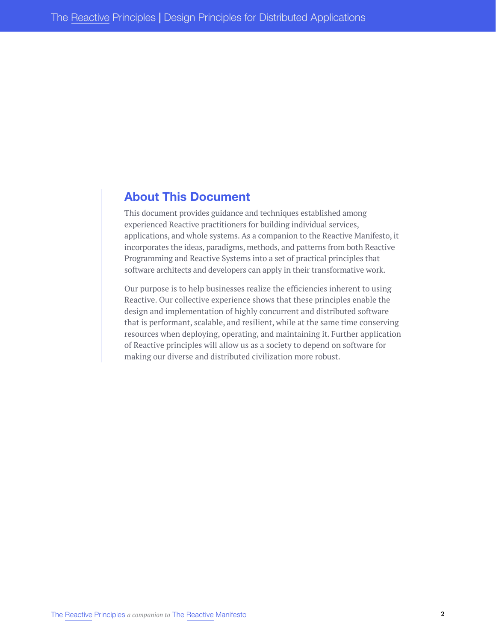# **About This Document**

This document provides guidance and techniques established among experienced Reactive practitioners for building individual services, applications, and whole systems. As a companion to the Reactive Manifesto, it incorporates the ideas, paradigms, methods, and patterns from both Reactive Programming and Reactive Systems into a set of practical principles that software architects and developers can apply in their transformative work.

Our purpose is to help businesses realize the efficiencies inherent to using Reactive. Our collective experience shows that these principles enable the design and implementation of highly concurrent and distributed software that is performant, scalable, and resilient, while at the same time conserving resources when deploying, operating, and maintaining it. Further application of Reactive principles will allow us as a society to depend on software for making our diverse and distributed civilization more robust.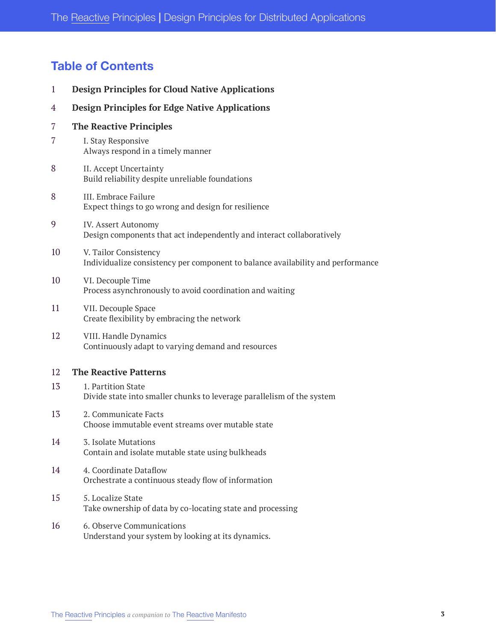# **Table of Contents**

| $\mathbf{1}$ | <b>Design Principles for Cloud Native Applications</b>                                                   |
|--------------|----------------------------------------------------------------------------------------------------------|
| 4            | <b>Design Principles for Edge Native Applications</b>                                                    |
| 7            | <b>The Reactive Principles</b>                                                                           |
| 7            | I. Stay Responsive<br>Always respond in a timely manner                                                  |
| 8            | II. Accept Uncertainty<br>Build reliability despite unreliable foundations                               |
| 8            | III. Embrace Failure<br>Expect things to go wrong and design for resilience                              |
| 9            | <b>IV. Assert Autonomy</b><br>Design components that act independently and interact collaboratively      |
| 10           | V. Tailor Consistency<br>Individualize consistency per component to balance availability and performance |
| 10           | VI. Decouple Time<br>Process asynchronously to avoid coordination and waiting                            |
| 11           | VII. Decouple Space<br>Create flexibility by embracing the network                                       |
| 12           | VIII. Handle Dynamics<br>Continuously adapt to varying demand and resources                              |
| 12           | <b>The Reactive Patterns</b>                                                                             |
| 13           | 1. Partition State<br>Divide state into smaller chunks to leverage parallelism of the system             |
| 13           | 2. Communicate Facts<br>Choose immutable event streams over mutable state                                |
| 14           | 3. Isolate Mutations<br>Contain and isolate mutable state using bulkheads                                |
| 14           | 4. Coordinate Dataflow<br>Orchestrate a continuous steady flow of information                            |
| 15           | 5. Localize State<br>Take ownership of data by co-locating state and processing                          |
| 16           | 6. Observe Communications<br>Understand your system by looking at its dynamics.                          |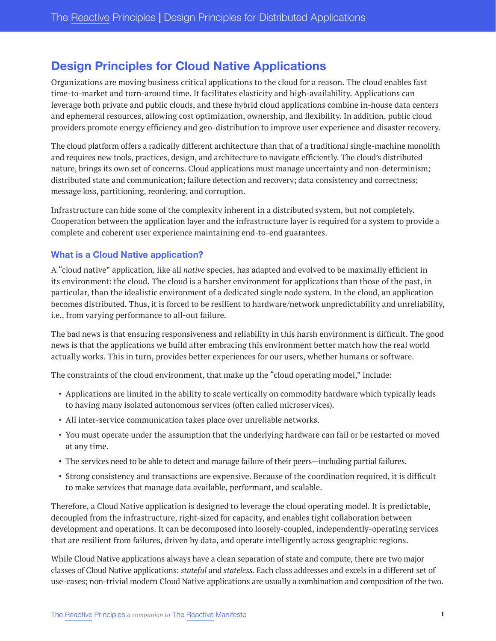# <span id="page-3-0"></span>**Design Principles for Cloud Native Applications**

Organizations are moving business critical applications to the cloud for a reason. The cloud enables fast time-to-market and turn-around time. It facilitates elasticity and high-availability. Applications can leverage both private and public clouds, and these hybrid cloud applications combine in-house data centers and ephemeral resources, allowing cost optimization, ownership, and flexibility. In addition, public cloud providers promote energy efficiency and geo-distribution to improve user experience and disaster recovery.

The cloud platform offers a radically different architecture than that of a traditional single-machine monolith and requires new tools, practices, design, and architecture to navigate efficiently. The cloud's distributed nature, brings its own set of concerns. Cloud applications must manage uncertainty and non-determinism; distributed state and communication; failure detection and recovery; data consistency and correctness; message loss, partitioning, reordering, and corruption.

Infrastructure can hide some of the complexity inherent in a distributed system, but not completely. Cooperation between the application layer and the infrastructure layer is required for a system to provide a complete and coherent user experience maintaining end-to-end guarantees.

#### **What is a Cloud Native application?**

A "cloud native" application, like all *native* species, has adapted and evolved to be maximally efficient in its environment: the cloud. The cloud is a harsher environment for applications than those of the past, in particular, than the idealistic environment of a dedicated single node system. In the cloud, an application becomes distributed. Thus, it is forced to be resilient to hardware/network unpredictability and unreliability, i.e., from varying performance to all-out failure.

The bad news is that ensuring responsiveness and reliability in this harsh environment is difficult. The good news is that the applications we build after embracing this environment better match how the real world actually works. This in turn, provides better experiences for our users, whether humans or software.

The constraints of the cloud environment, that make up the "cloud operating model," include:

- Applications are limited in the ability to scale vertically on commodity hardware which typically leads to having many isolated autonomous services (often called microservices).
- All inter-service communication takes place over unreliable networks.
- You must operate under the assumption that the underlying hardware can fail or be restarted or moved at any time.
- The services need to be able to detect and manage failure of their peers—including partial failures.
- Strong consistency and transactions are expensive. Because of the coordination required, it is difficult to make services that manage data available, performant, and scalable.

Therefore, a Cloud Native application is designed to leverage the cloud operating model. It is predictable, decoupled from the infrastructure, right-sized for capacity, and enables tight collaboration between development and operations. It can be decomposed into loosely-coupled, independently-operating services that are resilient from failures, driven by data, and operate intelligently across geographic regions.

While Cloud Native applications always have a clean separation of state and compute, there are two major classes of Cloud Native applications: *stateful* and *stateless*. Each class addresses and excels in a different set of use-cases; non-trivial modern Cloud Native applications are usually a combination and composition of the two.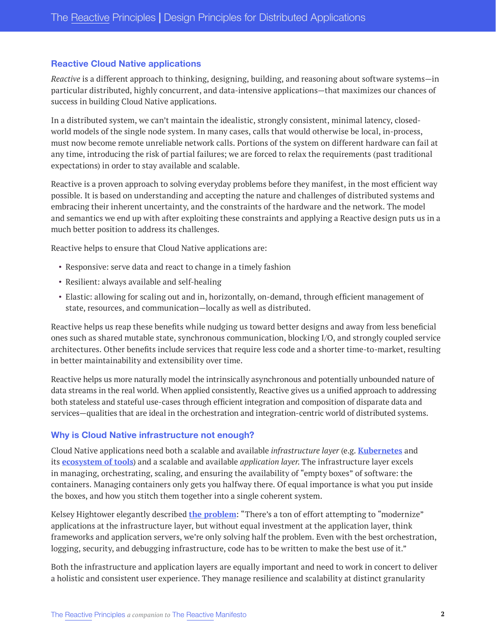#### **Reactive Cloud Native applications**

*Reactive* is a different approach to thinking, designing, building, and reasoning about software systems—in particular distributed, highly concurrent, and data-intensive applications—that maximizes our chances of success in building Cloud Native applications.

In a distributed system, we can't maintain the idealistic, strongly consistent, minimal latency, closedworld models of the single node system. In many cases, calls that would otherwise be local, in-process, must now become remote unreliable network calls. Portions of the system on different hardware can fail at any time, introducing the risk of partial failures; we are forced to relax the requirements (past traditional expectations) in order to stay available and scalable.

Reactive is a proven approach to solving everyday problems before they manifest, in the most efficient way possible. It is based on understanding and accepting the nature and challenges of distributed systems and embracing their inherent uncertainty, and the constraints of the hardware and the network. The model and semantics we end up with after exploiting these constraints and applying a Reactive design puts us in a much better position to address its challenges.

Reactive helps to ensure that Cloud Native applications are:

- Responsive: serve data and react to change in a timely fashion
- Resilient: always available and self-healing
- Elastic: allowing for scaling out and in, horizontally, on-demand, through efficient management of state, resources, and communication—locally as well as distributed.

Reactive helps us reap these benefits while nudging us toward better designs and away from less beneficial ones such as shared mutable state, synchronous communication, blocking I/O, and strongly coupled service architectures. Other benefits include services that require less code and a shorter time-to-market, resulting in better maintainability and extensibility over time.

Reactive helps us more naturally model the intrinsically asynchronous and potentially unbounded nature of data streams in the real world. When applied consistently, Reactive gives us a unified approach to addressing both stateless and stateful use-cases through efficient integration and composition of disparate data and services—qualities that are ideal in the orchestration and integration-centric world of distributed systems.

#### **Why is Cloud Native infrastructure not enough?**

Cloud Native applications need both a scalable and available *infrastructure layer* (e.g. **[Kubernetes](https://kubernetes.io/)** and its **[ecosystem of tools](https://www.cncf.io/)**) and a scalable and available *application layer*. The infrastructure layer excels in managing, orchestrating, scaling, and ensuring the availability of "empty boxes" of software: the containers. Managing containers only gets you halfway there. Of equal importance is what you put inside the boxes, and how you stitch them together into a single coherent system.

Kelsey Hightower elegantly described **[the problem](https://twitter.com/kelseyhightower/status/1249888627561136129)**: "There's a ton of effort attempting to "modernize" applications at the infrastructure layer, but without equal investment at the application layer, think frameworks and application servers, we're only solving half the problem. Even with the best orchestration, logging, security, and debugging infrastructure, code has to be written to make the best use of it."

Both the infrastructure and application layers are equally important and need to work in concert to deliver a holistic and consistent user experience. They manage resilience and scalability at distinct granularity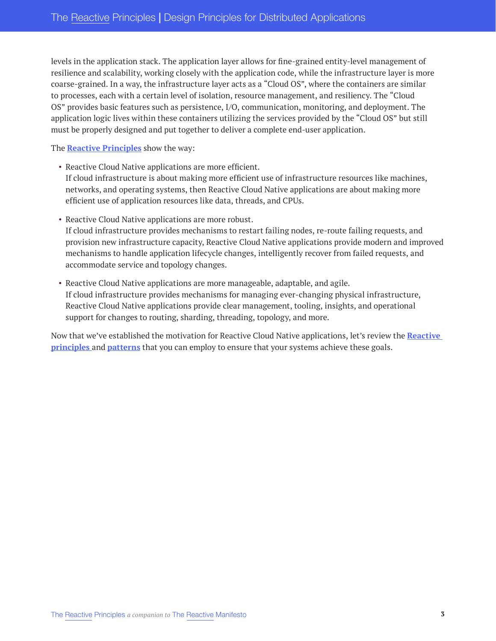levels in the application stack. The application layer allows for fine-grained entity-level management of resilience and scalability, working closely with the application code, while the infrastructure layer is more coarse-grained. In a way, the infrastructure layer acts as a "Cloud OS", where the containers are similar to processes, each with a certain level of isolation, resource management, and resiliency. The "Cloud OS" provides basic features such as persistence, I/O, communication, monitoring, and deployment. The application logic lives within these containers utilizing the services provided by the "Cloud OS" but still must be properly designed and put together to deliver a complete end-user application.

The **[Reactive Principles](#page-9-0)** show the way:

- Reactive Cloud Native applications are more efficient. If cloud infrastructure is about making more efficient use of infrastructure resources like machines, networks, and operating systems, then Reactive Cloud Native applications are about making more efficient use of application resources like data, threads, and CPUs.
- Reactive Cloud Native applications are more robust. If cloud infrastructure provides mechanisms to restart failing nodes, re-route failing requests, and provision new infrastructure capacity, Reactive Cloud Native applications provide modern and improved mechanisms to handle application lifecycle changes, intelligently recover from failed requests, and accommodate service and topology changes.
- Reactive Cloud Native applications are more manageable, adaptable, and agile. If cloud infrastructure provides mechanisms for managing ever-changing physical infrastructure, Reactive Cloud Native applications provide clear management, tooling, insights, and operational support for changes to routing, sharding, threading, topology, and more.

Now that we've established the motivation for Reactive Cloud Native applications, let's review the **[Reactive](#page-9-0)  [principles](#page-9-0)** and **[patterns](#page-14-2)** that you can employ to ensure that your systems achieve these goals.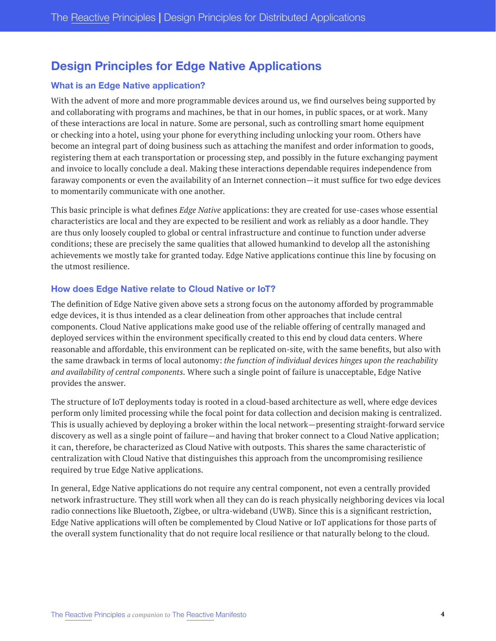# <span id="page-6-0"></span>**Design Principles for Edge Native Applications**

#### **What is an Edge Native application?**

With the advent of more and more programmable devices around us, we find ourselves being supported by and collaborating with programs and machines, be that in our homes, in public spaces, or at work. Many of these interactions are local in nature. Some are personal, such as controlling smart home equipment or checking into a hotel, using your phone for everything including unlocking your room. Others have become an integral part of doing business such as attaching the manifest and order information to goods, registering them at each transportation or processing step, and possibly in the future exchanging payment and invoice to locally conclude a deal. Making these interactions dependable requires independence from faraway components or even the availability of an Internet connection—it must suffice for two edge devices to momentarily communicate with one another.

This basic principle is what defines *Edge Native* applications: they are created for use-cases whose essential characteristics are local and they are expected to be resilient and work as reliably as a door handle. They are thus only loosely coupled to global or central infrastructure and continue to function under adverse conditions; these are precisely the same qualities that allowed humankind to develop all the astonishing achievements we mostly take for granted today. Edge Native applications continue this line by focusing on the utmost resilience.

#### **How does Edge Native relate to Cloud Native or IoT?**

The definition of Edge Native given above sets a strong focus on the autonomy afforded by programmable edge devices, it is thus intended as a clear delineation from other approaches that include central components. Cloud Native applications make good use of the reliable offering of centrally managed and deployed services within the environment specifically created to this end by cloud data centers. Where reasonable and affordable, this environment can be replicated on-site, with the same benefits, but also with the same drawback in terms of local autonomy: *the function of individual devices hinges upon the reachability and availability of central components*. Where such a single point of failure is unacceptable, Edge Native provides the answer.

The structure of IoT deployments today is rooted in a cloud-based architecture as well, where edge devices perform only limited processing while the focal point for data collection and decision making is centralized. This is usually achieved by deploying a broker within the local network—presenting straight-forward service discovery as well as a single point of failure—and having that broker connect to a Cloud Native application; it can, therefore, be characterized as Cloud Native with outposts. This shares the same characteristic of centralization with Cloud Native that distinguishes this approach from the uncompromising resilience required by true Edge Native applications.

In general, Edge Native applications do not require any central component, not even a centrally provided network infrastructure. They still work when all they can do is reach physically neighboring devices via local radio connections like Bluetooth, Zigbee, or ultra-wideband (UWB). Since this is a significant restriction, Edge Native applications will often be complemented by Cloud Native or IoT applications for those parts of the overall system functionality that do not require local resilience or that naturally belong to the cloud.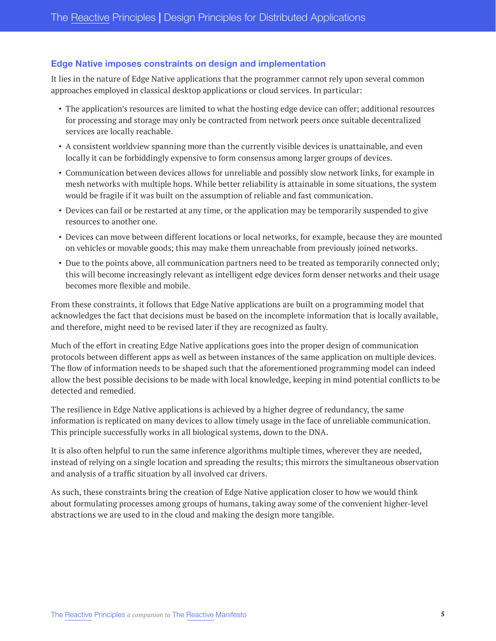#### **Edge Native imposes constraints on design and implementation**

It lies in the nature of Edge Native applications that the programmer cannot rely upon several common approaches employed in classical desktop applications or cloud services. In particular:

- The application's resources are limited to what the hosting edge device can offer; additional resources for processing and storage may only be contracted from network peers once suitable decentralized services are locally reachable.
- A consistent worldview spanning more than the currently visible devices is unattainable, and even locally it can be forbiddingly expensive to form consensus among larger groups of devices.
- Communication between devices allows for unreliable and possibly slow network links, for example in mesh networks with multiple hops. While better reliability is attainable in some situations, the system would be fragile if it was built on the assumption of reliable and fast communication.
- Devices can fail or be restarted at any time, or the application may be temporarily suspended to give resources to another one.
- Devices can move between different locations or local networks, for example, because they are mounted on vehicles or movable goods; this may make them unreachable from previously joined networks.
- Due to the points above, all communication partners need to be treated as temporarily connected only; this will become increasingly relevant as intelligent edge devices form denser networks and their usage becomes more flexible and mobile.

From these constraints, it follows that Edge Native applications are built on a programming model that acknowledges the fact that decisions must be based on the incomplete information that is locally available, and therefore, might need to be revised later if they are recognized as faulty.

Much of the effort in creating Edge Native applications goes into the proper design of communication protocols between different apps as well as between instances of the same application on multiple devices. The flow of information needs to be shaped such that the aforementioned programming model can indeed allow the best possible decisions to be made with local knowledge, keeping in mind potential conflicts to be detected and remedied.

The resilience in Edge Native applications is achieved by a higher degree of redundancy, the same information is replicated on many devices to allow timely usage in the face of unreliable communication. This principle successfully works in all biological systems, down to the DNA.

It is also often helpful to run the same inference algorithms multiple times, wherever they are needed, instead of relying on a single location and spreading the results; this mirrors the simultaneous observation and analysis of a traffic situation by all involved car drivers.

As such, these constraints bring the creation of Edge Native application closer to how we would think about formulating processes among groups of humans, taking away some of the convenient higher-level abstractions we are used to in the cloud and making the design more tangible.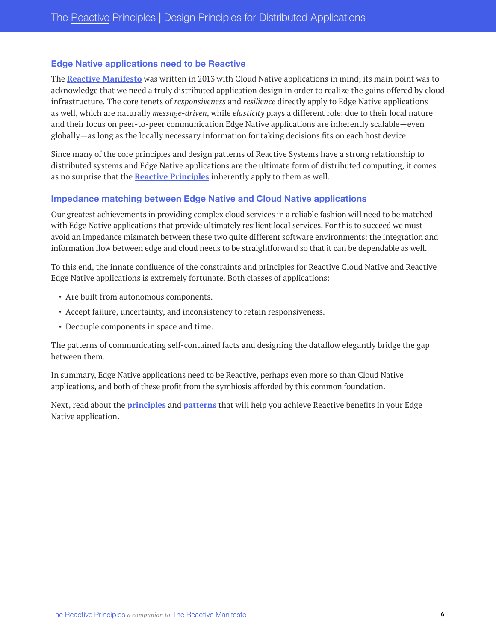#### **Edge Native applications need to be Reactive**

The **[Reactive Manifesto](https://www.reactivemanifesto.org/)** was written in 2013 with Cloud Native applications in mind; its main point was to acknowledge that we need a truly distributed application design in order to realize the gains offered by cloud infrastructure. The core tenets of *responsiveness* and *resilience* directly apply to Edge Native applications as well, which are naturally *message-driven*, while *elasticity* plays a different role: due to their local nature and their focus on peer-to-peer communication Edge Native applications are inherently scalable—even globally—as long as the locally necessary information for taking decisions fits on each host device.

Since many of the core principles and design patterns of Reactive Systems have a strong relationship to distributed systems and Edge Native applications are the ultimate form of distributed computing, it comes as no surprise that the **[Reactive Principles](#page-9-0)** inherently apply to them as well.

#### **Impedance matching between Edge Native and Cloud Native applications**

Our greatest achievements in providing complex cloud services in a reliable fashion will need to be matched with Edge Native applications that provide ultimately resilient local services. For this to succeed we must avoid an impedance mismatch between these two quite different software environments: the integration and information flow between edge and cloud needs to be straightforward so that it can be dependable as well.

To this end, the innate confluence of the constraints and principles for Reactive Cloud Native and Reactive Edge Native applications is extremely fortunate. Both classes of applications:

- Are built from autonomous components.
- Accept failure, uncertainty, and inconsistency to retain responsiveness.
- Decouple components in space and time.

The patterns of communicating self-contained facts and designing the dataflow elegantly bridge the gap between them.

In summary, Edge Native applications need to be Reactive, perhaps even more so than Cloud Native applications, and both of these profit from the symbiosis afforded by this common foundation.

Next, read about the **[principles](#page-9-0)** and **[patterns](#page-14-2)** that will help you achieve Reactive benefits in your Edge Native application.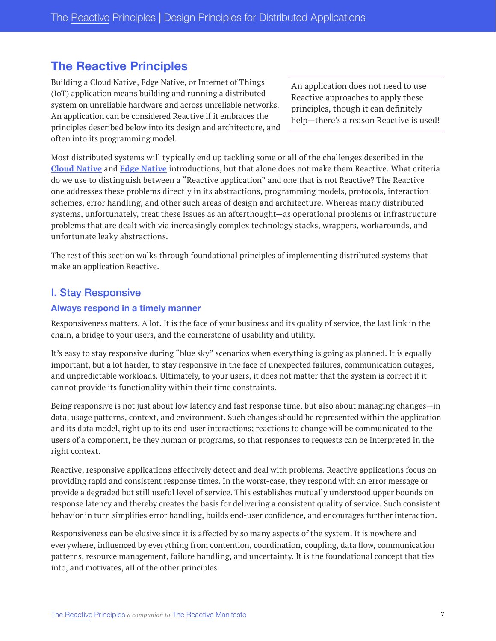# <span id="page-9-0"></span>**The Reactive Principles**

Building a Cloud Native, Edge Native, or Internet of Things (IoT) application means building and running a distributed system on unreliable hardware and across unreliable networks. An application can be considered Reactive if it embraces the principles described below into its design and architecture, and often into its programming model.

An application does not need to use Reactive approaches to apply these principles, though it can definitely help—there's a reason Reactive is used!

Most distributed systems will typically end up tackling some or all of the challenges described in the **Cloud Native** and **Edge Native** introductions, but that alone does not make them Reactive. What criteria do we use to distinguish between a "Reactive application" and one that is not Reactive? The Reactive one addresses these problems directly in its abstractions, programming models, protocols, interaction schemes, error handling, and other such areas of design and architecture. Whereas many distributed systems, unfortunately, treat these issues as an afterthought—as operational problems or infrastructure problems that are dealt with via increasingly complex technology stacks, wrappers, workarounds, and unfortunate leaky abstractions.

The rest of this section walks through foundational principles of implementing distributed systems that make an application Reactive.

## <span id="page-9-1"></span>I. Stay Responsive

#### <span id="page-9-2"></span>**Always respond in a timely manner**

Responsiveness matters. A lot. It is the face of your business and its quality of service, the last link in the chain, a bridge to your users, and the cornerstone of usability and utility.

It's easy to stay responsive during "blue sky" scenarios when everything is going as planned. It is equally important, but a lot harder, to stay responsive in the face of unexpected failures, communication outages, and unpredictable workloads. Ultimately, to your users, it does not matter that the system is correct if it cannot provide its functionality within their time constraints.

Being responsive is not just about low latency and fast response time, but also about managing changes—in data, usage patterns, context, and environment. Such changes should be represented within the application and its data model, right up to its end-user interactions; reactions to change will be communicated to the users of a component, be they human or programs, so that responses to requests can be interpreted in the right context.

Reactive, responsive applications effectively detect and deal with problems. Reactive applications focus on providing rapid and consistent response times. In the worst-case, they respond with an error message or provide a degraded but still useful level of service. This establishes mutually understood upper bounds on response latency and thereby creates the basis for delivering a consistent quality of service. Such consistent behavior in turn simplifies error handling, builds end-user confidence, and encourages further interaction.

Responsiveness can be elusive since it is affected by so many aspects of the system. It is nowhere and everywhere, influenced by everything from contention, coordination, coupling, data flow, communication patterns, resource management, failure handling, and uncertainty. It is the foundational concept that ties into, and motivates, all of the other principles.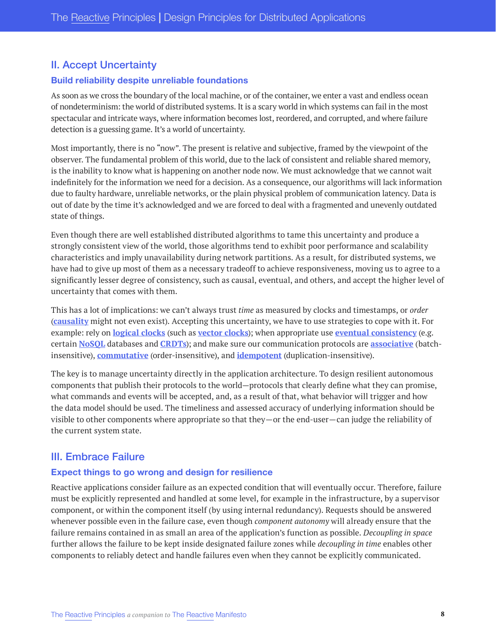## <span id="page-10-0"></span>II. Accept Uncertainty

#### <span id="page-10-1"></span>**Build reliability despite unreliable foundations**

As soon as we cross the boundary of the local machine, or of the container, we enter a vast and endless ocean of nondeterminism: the world of distributed systems. It is a scary world in which systems can fail in the most spectacular and intricate ways, where information becomes lost, reordered, and corrupted, and where failure detection is a guessing game. It's a world of uncertainty.

Most importantly, there is no "now". The present is relative and subjective, framed by the viewpoint of the observer. The fundamental problem of this world, due to the lack of consistent and reliable shared memory, is the inability to know what is happening on another node now. We must acknowledge that we cannot wait indefinitely for the information we need for a decision. As a consequence, our algorithms will lack information due to faulty hardware, unreliable networks, or the plain physical problem of communication latency. Data is out of date by the time it's acknowledged and we are forced to deal with a fragmented and unevenly outdated state of things.

Even though there are well established distributed algorithms to tame this uncertainty and produce a strongly consistent view of the world, those algorithms tend to exhibit poor performance and scalability characteristics and imply unavailability during network partitions. As a result, for distributed systems, we have had to give up most of them as a necessary tradeoff to achieve responsiveness, moving us to agree to a significantly lesser degree of consistency, such as causal, eventual, and others, and accept the higher level of uncertainty that comes with them.

This has a lot of implications: we can't always trust *time* as measured by clocks and timestamps, or *order* (**[causality](https://en.wikipedia.org/wiki/Causality)** might not even exist). Accepting this uncertainty, we have to use strategies to cope with it. For example: rely on **[logical clocks](https://en.wikipedia.org/wiki/Logical_clock)** (such as **[vector clocks](https://en.wikipedia.org/wiki/Vector_clock)**); when appropriate use **[eventual consistency](https://en.wikipedia.org/wiki/Eventual_consistency)** (e.g. certain **[NoSQL](https://en.wikipedia.org/wiki/NoSQL)** databases and **[CRDTs](https://en.wikipedia.org/wiki/Conflict-free_replicated_data_type)**); and make sure our communication protocols are **[associative](https://en.wikipedia.org/wiki/Associative_property)** (batchinsensitive), **[commutative](https://en.wikipedia.org/wiki/Commutative_property)** (order-insensitive), and **[idempotent](http://bit.ly/2veea5I)** (duplication-insensitive).

The key is to manage uncertainty directly in the application architecture. To design resilient autonomous components that publish their protocols to the world—protocols that clearly define what they can promise, what commands and events will be accepted, and, as a result of that, what behavior will trigger and how the data model should be used. The timeliness and assessed accuracy of underlying information should be visible to other components where appropriate so that they—or the end-user—can judge the reliability of the current system state.

## <span id="page-10-2"></span>III. Embrace Failure

#### <span id="page-10-3"></span>**Expect things to go wrong and design for resilience**

Reactive applications consider failure as an expected condition that will eventually occur. Therefore, failure must be explicitly represented and handled at some level, for example in the infrastructure, by a supervisor component, or within the component itself (by using internal redundancy). Requests should be answered whenever possible even in the failure case, even though *component autonomy* will already ensure that the failure remains contained in as small an area of the application's function as possible. *Decoupling in space* further allows the failure to be kept inside designated failure zones while *decoupling in time* enables other components to reliably detect and handle failures even when they cannot be explicitly communicated.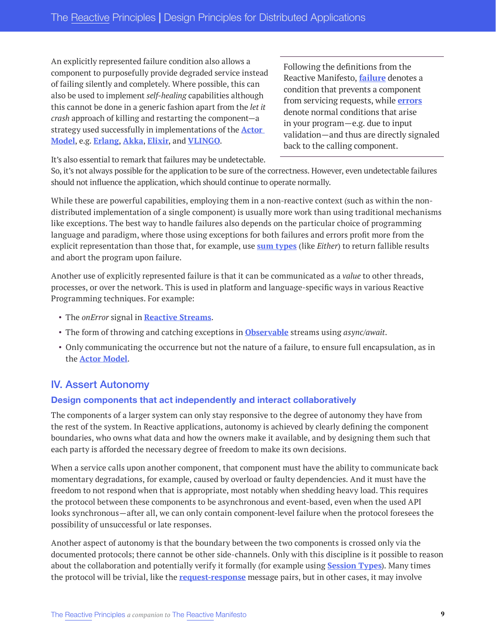An explicitly represented failure condition also allows a component to purposefully provide degraded service instead of failing silently and completely. Where possible, this can also be used to implement *self-healing* capabilities although this cannot be done in a generic fashion apart from the *let it crash* approach of killing and restarting the component—a strategy used successfully in implementations of the **[Actor](https://en.wikipedia.org/wiki/Actor_model)  [Model](https://en.wikipedia.org/wiki/Actor_model)**, e.g. **[Erlang](https://www.erlang.org/)**, **[Akka](https://akka.io/)**, **[Elixir](https://elixir-lang.org/)**, and **[VLINGO](https://vlingo.io/)**.

Following the definitions from the Reactive Manifesto, **[failure](https://www.reactivemanifesto.org/glossary#Failure)** denotes a condition that prevents a component from servicing requests, while **[errors](https://www.reactivemanifesto.org/glossary#Error)** denote normal conditions that arise in your program—e.g. due to input validation—and thus are directly signaled back to the calling component.

It's also essential to remark that failures may be undetectable.

So, it's not always possible for the application to be sure of the correctness. However, even undetectable failures should not influence the application, which should continue to operate normally.

While these are powerful capabilities, employing them in a non-reactive context (such as within the nondistributed implementation of a single component) is usually more work than using traditional mechanisms like exceptions. The best way to handle failures also depends on the particular choice of programming language and paradigm, where those using exceptions for both failures and errors profit more from the explicit representation than those that, for example, use **[sum types](https://en.wikipedia.org/wiki/Tagged_union)** (like *Either*) to return fallible results and abort the program upon failure.

Another use of explicitly represented failure is that it can be communicated as a *value* to other threads, processes, or over the network. This is used in platform and language-specific ways in various Reactive Programming techniques. For example:

- The *onError* signal in **[Reactive Streams](https://www.reactive-streams.org/)**.
- The form of throwing and catching exceptions in **[Observable](http://reactivex.io/documentation/observable.html)** streams using *async/await*.
- Only communicating the occurrence but not the nature of a failure, to ensure full encapsulation, as in the **[Actor Model](https://en.wikipedia.org/wiki/Actor_model)**.

# <span id="page-11-0"></span>IV. Assert Autonomy

#### <span id="page-11-1"></span>**Design components that act independently and interact collaboratively**

The components of a larger system can only stay responsive to the degree of autonomy they have from the rest of the system. In Reactive applications, autonomy is achieved by clearly defining the component boundaries, who owns what data and how the owners make it available, and by designing them such that each party is afforded the necessary degree of freedom to make its own decisions.

When a service calls upon another component, that component must have the ability to communicate back momentary degradations, for example, caused by overload or faulty dependencies. And it must have the freedom to not respond when that is appropriate, most notably when shedding heavy load. This requires the protocol between these components to be asynchronous and event-based, even when the used API looks synchronous—after all, we can only contain component-level failure when the protocol foresees the possibility of unsuccessful or late responses.

Another aspect of autonomy is that the boundary between the two components is crossed only via the documented protocols; there cannot be other side-channels. Only with this discipline is it possible to reason about the collaboration and potentially verify it formally (for example using **[Session Types](https://groups.inf.ed.ac.uk/abcd/)**). Many times the protocol will be trivial, like the **[request-response](https://en.wikipedia.org/wiki/Request%E2%80%93response)** message pairs, but in other cases, it may involve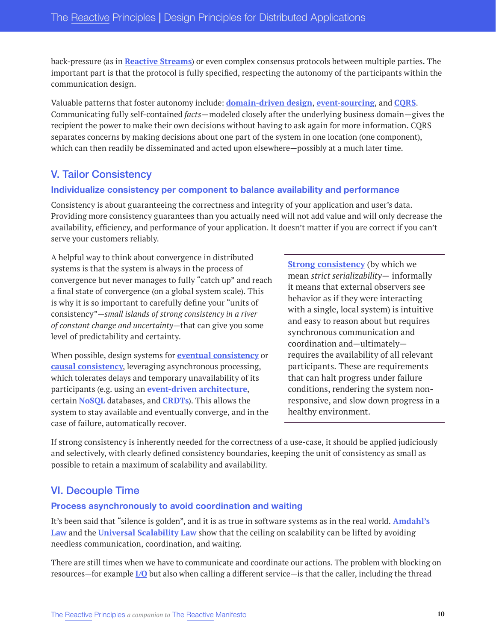back-pressure (as in **[Reactive Streams](https://www.reactive-streams.org/)**) or even complex consensus protocols between multiple parties. The important part is that the protocol is fully specified, respecting the autonomy of the participants within the communication design.

Valuable patterns that foster autonomy include: **[domain-driven design](https://martinfowler.com/bliki/DomainDrivenDesign.html)**, **[event-sourcing](https://martinfowler.com/eaaDev/EventSourcing.html)**, and **[CQRS](https://martinfowler.com/bliki/CQRS.html)**. Communicating fully self-contained *facts*—modeled closely after the underlying business domain—gives the recipient the power to make their own decisions without having to ask again for more information. CQRS separates concerns by making decisions about one part of the system in one location (one component), which can then readily be disseminated and acted upon elsewhere—possibly at a much later time.

# <span id="page-12-0"></span>V. Tailor Consistency

#### <span id="page-12-1"></span>**Individualize consistency per component to balance availability and performance**

Consistency is about guaranteeing the correctness and integrity of your application and user's data. Providing more consistency guarantees than you actually need will not add value and will only decrease the availability, efficiency, and performance of your application. It doesn't matter if you are correct if you can't serve your customers reliably.

A helpful way to think about convergence in distributed systems is that the system is always in the process of convergence but never manages to fully "catch up" and reach a final state of convergence (on a global system scale). This is why it is so important to carefully define your "units of consistency"—*small islands of strong consistency in a river of constant change and uncertainty*—that can give you some level of predictability and certainty.

When possible, design systems for **[eventual consistency](https://www.allthingsdistributed.com/2008/12/eventually_consistent.html)** or **[causal consistency](https://en.wikipedia.org/wiki/Causal_consistency)**, leveraging asynchronous processing, which tolerates delays and temporary unavailability of its participants (e.g. using an **[event-driven architecture](https://en.wikipedia.org/wiki/Event-driven_architecture)**, certain **[NoSQL](https://en.wikipedia.org/wiki/NoSQL)** databases, and **[CRDTs](https://en.wikipedia.org/wiki/Conflict-free_replicated_data_type)**). This allows the system to stay available and eventually converge, and in the case of failure, automatically recover.

**[Strong consistency](http://www.bailis.org/blog/linearizability-versus-serializability/)** (by which we mean *strict serializability*— informally it means that external observers see behavior as if they were interacting with a single, local system) is intuitive and easy to reason about but requires synchronous communication and coordination and—ultimately requires the availability of all relevant participants. These are requirements that can halt progress under failure conditions, rendering the system nonresponsive, and slow down progress in a healthy environment.

If strong consistency is inherently needed for the correctness of a use-case, it should be applied judiciously and selectively, with clearly defined consistency boundaries, keeping the unit of consistency as small as possible to retain a maximum of scalability and availability.

# <span id="page-12-2"></span>VI. Decouple Time

#### <span id="page-12-3"></span>**Process asynchronously to avoid coordination and waiting**

It's been said that "silence is golden", and it is as true in software systems as in the real world. **[Amdahl's](https://en.wikipedia.org/wiki/Amdahl%27s_law)  [Law](https://en.wikipedia.org/wiki/Amdahl%27s_law)** and the **[Universal Scalability Law](http://www.perfdynamics.com/Manifesto/USLscalability.html)** show that the ceiling on scalability can be lifted by avoiding needless communication, coordination, and waiting.

There are still times when we have to communicate and coordinate our actions. The problem with blocking on resources—for example **[I/O](https://en.wikipedia.org/wiki/Input/outputhttps://en.wikipedia.org/wiki/Input/output)** but also when calling a different service—is that the caller, including the thread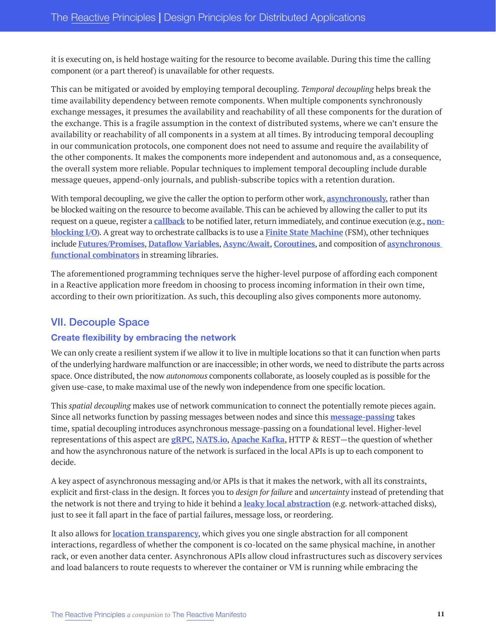it is executing on, is held hostage waiting for the resource to become available. During this time the calling component (or a part thereof) is unavailable for other requests.

This can be mitigated or avoided by employing temporal decoupling. *Temporal decoupling* helps break the time availability dependency between remote components. When multiple components synchronously exchange messages, it presumes the availability and reachability of all these components for the duration of the exchange. This is a fragile assumption in the context of distributed systems, where we can't ensure the availability or reachability of all components in a system at all times. By introducing temporal decoupling in our communication protocols, one component does not need to assume and require the availability of the other components. It makes the components more independent and autonomous and, as a consequence, the overall system more reliable. Popular techniques to implement temporal decoupling include durable message queues, append-only journals, and publish-subscribe topics with a retention duration.

With temporal decoupling, we give the caller the option to perform other work, **[asynchronously](https://www.reactivemanifesto.org/glossary#Asynchronous)**, rather than be blocked waiting on the resource to become available. This can be achieved by allowing the caller to put its request on a queue, register a **[callback](https://en.wikipedia.org/wiki/Callback_(computer_programming))** to be notified later, return immediately, and continue execution (e.g., **[non](https://www.reactivemanifesto.org/glossary#Non-Blocking)[blocking I/O](https://www.reactivemanifesto.org/glossary#Non-Blocking)**). A great way to orchestrate callbacks is to use a **[Finite State Machine](https://en.wikipedia.org/wiki/Finite-state_machine)** (FSM), other techniques include **[Futures/Promises](https://en.wikipedia.org/wiki/Futures_and_promises)**, **[Dataflow Variables](https://en.wikipedia.org/wiki/Dataflow_programming)**, **[Async/Await](https://developer.mozilla.org/en-US/docs/Learn/JavaScript/Asynchronous/Async_await)**, **[Coroutines](https://en.wikipedia.org/wiki/Coroutine)**, and composition of **[asynchronous](https://blog.colinbreck.com/maximizing-throughput-for-akka-streams/)  [functional combinators](https://blog.colinbreck.com/maximizing-throughput-for-akka-streams/)** in streaming libraries.

The aforementioned programming techniques serve the higher-level purpose of affording each component in a Reactive application more freedom in choosing to process incoming information in their own time, according to their own prioritization. As such, this decoupling also gives components more autonomy.

## <span id="page-13-0"></span>VII. Decouple Space

#### <span id="page-13-1"></span>**Create flexibility by embracing the network**

We can only create a resilient system if we allow it to live in multiple locations so that it can function when parts of the underlying hardware malfunction or are inaccessible; in other words, we need to distribute the parts across space. Once distributed, the now *autonomous* components collaborate, as loosely coupled as is possible for the given use-case, to make maximal use of the newly won independence from one specific location.

This *spatial decoupling* makes use of network communication to connect the potentially remote pieces again. Since all networks function by passing messages between nodes and since this **[message-passing](https://reactivemanifesto.org/glossary#Message-Driven)** takes time, spatial decoupling introduces asynchronous message-passing on a foundational level. Higher-level representations of this aspect are **[gRPC](https://grpc.io/)**, **[NATS.io](https://nats.io/)**, **[Apache Kafka](https://kafka.apache.org/)**, HTTP & REST—the question of whether and how the asynchronous nature of the network is surfaced in the local APIs is up to each component to decide.

A key aspect of asynchronous messaging and/or APIs is that it makes the network, with all its constraints, explicit and first-class in the design. It forces you to *design for failure* and *uncertainty* instead of pretending that the network is not there and trying to hide it behind a **[leaky local abstraction](http://bit.ly/2ve6r7J)** (e.g. network-attached disks), just to see it fall apart in the face of partial failures, message loss, or reordering.

It also allows for **[location transparency](https://www.reactivemanifesto.org/glossary#Location-Transparency)**, which gives you one single abstraction for all component interactions, regardless of whether the component is co-located on the same physical machine, in another rack, or even another data center. Asynchronous APIs allow cloud infrastructures such as discovery services and load balancers to route requests to wherever the container or VM is running while embracing the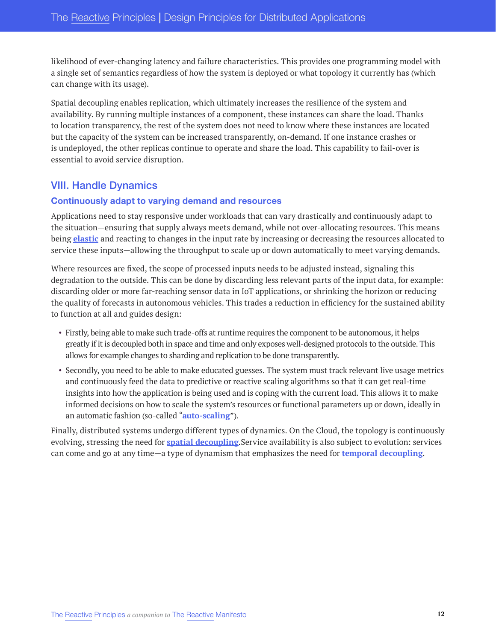likelihood of ever-changing latency and failure characteristics. This provides one programming model with a single set of semantics regardless of how the system is deployed or what topology it currently has (which can change with its usage).

Spatial decoupling enables replication, which ultimately increases the resilience of the system and availability. By running multiple instances of a component, these instances can share the load. Thanks to location transparency, the rest of the system does not need to know where these instances are located but the capacity of the system can be increased transparently, on-demand. If one instance crashes or is undeployed, the other replicas continue to operate and share the load. This capability to fail-over is essential to avoid service disruption.

# <span id="page-14-0"></span>VIII. Handle Dynamics

#### <span id="page-14-1"></span>**Continuously adapt to varying demand and resources**

Applications need to stay responsive under workloads that can vary drastically and continuously adapt to the situation—ensuring that supply always meets demand, while not over-allocating resources. This means being **[elastic](https://www.reactivemanifesto.org/glossary#Elasticity)** and reacting to changes in the input rate by increasing or decreasing the resources allocated to service these inputs—allowing the throughput to scale up or down automatically to meet varying demands.

Where resources are fixed, the scope of processed inputs needs to be adjusted instead, signaling this degradation to the outside. This can be done by discarding less relevant parts of the input data, for example: discarding older or more far-reaching sensor data in IoT applications, or shrinking the horizon or reducing the quality of forecasts in autonomous vehicles. This trades a reduction in efficiency for the sustained ability to function at all and guides design:

- Firstly, being able to make such trade-offs at runtime requires the component to be autonomous, it helps greatly if it is decoupled both in space and time and only exposes well-designed protocols to the outside. This allows for example changes to sharding and replication to be done transparently.
- Secondly, you need to be able to make educated guesses. The system must track relevant live usage metrics and continuously feed the data to predictive or reactive scaling algorithms so that it can get real-time insights into how the application is being used and is coping with the current load. This allows it to make informed decisions on how to scale the system's resources or functional parameters up or down, ideally in an automatic fashion (so-called "**[auto-scaling](https://en.wikipedia.org/wiki/Autoscaling)**").

<span id="page-14-2"></span>Finally, distributed systems undergo different types of dynamics. On the Cloud, the topology is continuously evolving, stressing the need for **[spatial decoupling](#page-13-0)**.Service availability is also subject to evolution: services can come and go at any time—a type of dynamism that emphasizes the need for **temporal decoupling**.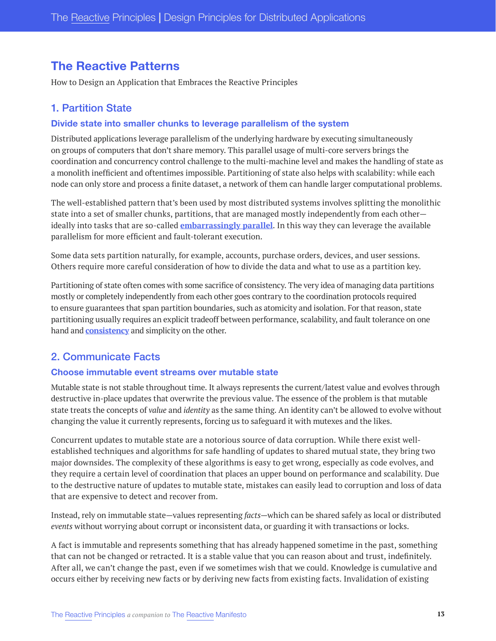# **The Reactive Patterns**

How to Design an Application that Embraces the Reactive Principles

# <span id="page-15-0"></span>1. Partition State

#### <span id="page-15-1"></span>**Divide state into smaller chunks to leverage parallelism of the system**

Distributed applications leverage parallelism of the underlying hardware by executing simultaneously on groups of computers that don't share memory. This parallel usage of multi-core servers brings the coordination and concurrency control challenge to the multi-machine level and makes the handling of state as a monolith inefficient and oftentimes impossible. Partitioning of state also helps with scalability: while each node can only store and process a finite dataset, a network of them can handle larger computational problems.

The well-established pattern that's been used by most distributed systems involves splitting the monolithic state into a set of smaller chunks, partitions, that are managed mostly independently from each other ideally into tasks that are so-called **[embarrassingly parallel](https://en.wikipedia.org/wiki/Embarrassingly_parallel)**. In this way they can leverage the available parallelism for more efficient and fault-tolerant execution.

Some data sets partition naturally, for example, accounts, purchase orders, devices, and user sessions. Others require more careful consideration of how to divide the data and what to use as a partition key.

Partitioning of state often comes with some sacrifice of consistency. The very idea of managing data partitions mostly or completely independently from each other goes contrary to the coordination protocols required to ensure guarantees that span partition boundaries, such as atomicity and isolation. For that reason, state partitioning usually requires an explicit tradeoff between performance, scalability, and fault tolerance on one hand and **[consistency](#page-12-0)** and simplicity on the other.

# <span id="page-15-2"></span>2. Communicate Facts

#### <span id="page-15-3"></span>**Choose immutable event streams over mutable state**

Mutable state is not stable throughout time. It always represents the current/latest value and evolves through destructive in-place updates that overwrite the previous value. The essence of the problem is that mutable state treats the concepts of *value* and *identity* as the same thing. An identity can't be allowed to evolve without changing the value it currently represents, forcing us to safeguard it with mutexes and the likes.

Concurrent updates to mutable state are a notorious source of data corruption. While there exist wellestablished techniques and algorithms for safe handling of updates to shared mutual state, they bring two major downsides. The complexity of these algorithms is easy to get wrong, especially as code evolves, and they require a certain level of coordination that places an upper bound on performance and scalability. Due to the destructive nature of updates to mutable state, mistakes can easily lead to corruption and loss of data that are expensive to detect and recover from.

Instead, rely on immutable state—values representing *facts*—which can be shared safely as local or distributed *events* without worrying about corrupt or inconsistent data, or guarding it with transactions or locks.

A fact is immutable and represents something that has already happened sometime in the past, something that can not be changed or retracted. It is a stable value that you can reason about and trust, indefinitely. After all, we can't change the past, even if we sometimes wish that we could. Knowledge is cumulative and occurs either by receiving new facts or by deriving new facts from existing facts. Invalidation of existing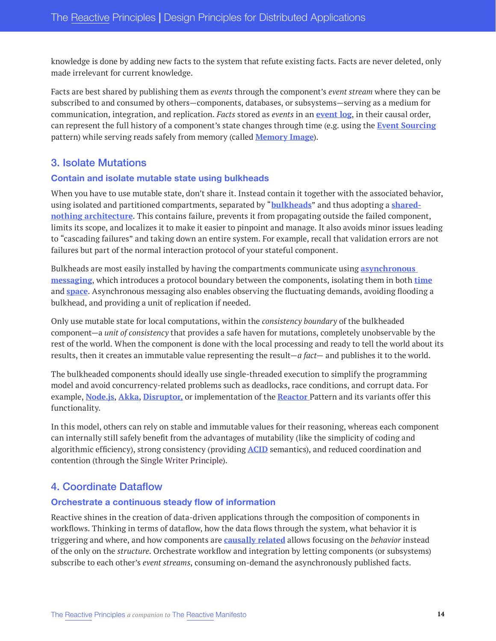knowledge is done by adding new facts to the system that refute existing facts. Facts are never deleted, only made irrelevant for current knowledge.

Facts are best shared by publishing them as *events* through the component's *event stream* where they can be subscribed to and consumed by others—components, databases, or subsystems—serving as a medium for communication, integration, and replication. *Facts* stored as *events* in an **[event log](https://engineering.linkedin.com/distributed-systems/log-what-every-software-engineer-should-know-about-real-time-datas-unifying)**, in their causal order, can represent the full history of a component's state changes through time (e.g. using the **[Event Sourcing](https://martinfowler.com/eaaDev/EventSourcing.html)** pattern) while serving reads safely from memory (called **[Memory Image](https://martinfowler.com/bliki/MemoryImage.html)**).

## <span id="page-16-0"></span>3. Isolate Mutations

#### <span id="page-16-1"></span>**Contain and isolate mutable state using bulkheads**

When you have to use mutable state, don't share it. Instead contain it together with the associated behavior, using isolated and partitioned compartments, separated by "**[bulkheads](https://docs.microsoft.com/en-us/azure/architecture/patterns/bulkhead)**" and thus adopting a **[shared](https://en.wikipedia.org/wiki/Shared-nothing_architecture)[nothing architecture](https://en.wikipedia.org/wiki/Shared-nothing_architecture)**. This contains failure, prevents it from propagating outside the failed component, limits its scope, and localizes it to make it easier to pinpoint and manage. It also avoids minor issues leading to "cascading failures" and taking down an entire system. For example, recall that validation errors are not failures but part of the normal interaction protocol of your stateful component.

Bulkheads are most easily installed by having the compartments communicate using **[asynchronous](https://www.reactivemanifesto.org/glossary#Message-Driven)  [messaging](https://www.reactivemanifesto.org/glossary#Message-Driven)**, which introduces a protocol boundary between the components, isolating them in both **time** and **[space](#page-13-0)**. Asynchronous messaging also enables observing the fluctuating demands, avoiding flooding a bulkhead, and providing a unit of replication if needed.

Only use mutable state for local computations, within the *consistency boundary* of the bulkheaded component—a *unit of consistency* that provides a safe haven for mutations, completely unobservable by the rest of the world. When the component is done with the local processing and ready to tell the world about its results, then it creates an immutable value representing the result—*a fact*— and publishes it to the world.

The bulkheaded components should ideally use single-threaded execution to simplify the programming model and avoid concurrency-related problems such as deadlocks, race conditions, and corrupt data. For example, **[Node.js](https://nodejs.org/)**, **[Akka](https://akka.io/)**, **[Disruptor,](https://lmax-exchange.github.io/disruptor/)** or implementation of the **[Reactor](https://en.wikipedia.org/wiki/Reactor_pattern)** Pattern and its variants offer this functionality.

In this model, others can rely on stable and immutable values for their reasoning, whereas each component can internally still safely benefit from the advantages of mutability (like the simplicity of coding and algorithmic efficiency), strong consistency (providing **[ACID](https://en.wikipedia.org/wiki/ACID)** semantics), and reduced coordination and contention (through the [Single Writer Principle](https://mechanical-sympathy.blogspot.com/2011/09/single-writer-principle.html)).

# <span id="page-16-2"></span>4. Coordinate Dataflow

#### <span id="page-16-3"></span>**Orchestrate a continuous steady flow of information**

Reactive shines in the creation of data-driven applications through the composition of components in workflows. Thinking in terms of dataflow, how the data flows through the system, what behavior it is triggering and where, and how components are **[causally related](https://en.wikipedia.org/wiki/Causality)** allows focusing on the *behavior* instead of the only on the *structure*. Orchestrate workflow and integration by letting components (or subsystems) subscribe to each other's *event streams*, consuming on-demand the asynchronously published facts.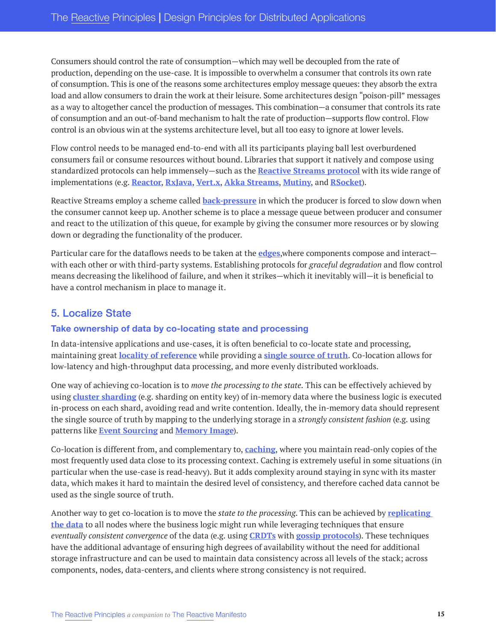Consumers should control the rate of consumption—which may well be decoupled from the rate of production, depending on the use-case. It is impossible to overwhelm a consumer that controls its own rate of consumption. This is one of the reasons some architectures employ message queues: they absorb the extra load and allow consumers to drain the work at their leisure. Some architectures design "poison-pill" messages as a way to altogether cancel the production of messages. This combination—a consumer that controls its rate of consumption and an out-of-band mechanism to halt the rate of production—supports flow control. Flow control is an obvious win at the systems architecture level, but all too easy to ignore at lower levels.

Flow control needs to be managed end-to-end with all its participants playing ball lest overburdened consumers fail or consume resources without bound. Libraries that support it natively and compose using standardized protocols can help immensely—such as the **[Reactive Streams protocol](https://www.reactive-streams.org/)** with its wide range of implementations (e.g. **[Reactor](https://projectreactor.io/)**, **[RxJava](https://github.com/ReactiveX/RxJava)**, **[Vert.x](https://vertx.io/)**, **[Akka Streams](https://doc.akka.io/docs/akka/current/stream/index.html)**, **[Mutiny](https://smallrye.io/smallrye-mutiny/)**, and **[RSocket](http://rsocket.io/)**).

Reactive Streams employ a scheme called **[back-pressure](https://www.reactivemanifesto.org/glossary#Back-Pressure)** in which the producer is forced to slow down when the consumer cannot keep up. Another scheme is to place a message queue between producer and consumer and react to the utilization of this queue, for example by giving the consumer more resources or by slowing down or degrading the functionality of the producer.

Particular care for the dataflows needs to be taken at the **edges**,where components compose and interact with each other or with third-party systems. Establishing protocols for *graceful degradation* and flow control means decreasing the likelihood of failure, and when it strikes—which it inevitably will—it is beneficial to have a control mechanism in place to manage it.

# <span id="page-17-0"></span>5. Localize State

#### <span id="page-17-1"></span>**Take ownership of data by co-locating state and processing**

In data-intensive applications and use-cases, it is often beneficial to co-locate state and processing, maintaining great **[locality of reference](https://en.wikipedia.org/wiki/Locality_of_reference)** while providing a **[single source of truth](https://en.wikipedia.org/wiki/Single_source_of_truth)**. Co-location allows for low-latency and high-throughput data processing, and more evenly distributed workloads.

One way of achieving co-location is to *move the processing to the state*. This can be effectively achieved by using **[cluster sharding](https://doc.akka.io/docs/akka/snapshot/typed/cluster-sharding.html)** (e.g. sharding on entity key) of in-memory data where the business logic is executed in-process on each shard, avoiding read and write contention. Ideally, the in-memory data should represent the single source of truth by mapping to the underlying storage in a *strongly consistent fashion* (e.g. using patterns like **[Event Sourcing](https://martinfowler.com/eaaDev/EventSourcing.html)** and **[Memory Image](https://martinfowler.com/bliki/MemoryImage.html)**).

Co-location is different from, and complementary to, **[caching](https://en.wikipedia.org/wiki/Cache_(computing))**, where you maintain read-only copies of the most frequently used data close to its processing context. Caching is extremely useful in some situations (in particular when the use-case is read-heavy). But it adds complexity around staying in sync with its master data, which makes it hard to maintain the desired level of consistency, and therefore cached data cannot be used as the single source of truth.

Another way to get co-location is to move the *state to the processing*. This can be achieved by **[replicating](https://en.wikipedia.org/wiki/Replication_(computing))  [the data](https://en.wikipedia.org/wiki/Replication_(computing))** to all nodes where the business logic might run while leveraging techniques that ensure *eventually consistent convergence* of the data (e.g. using **[CRDTs](https://en.wikipedia.org/wiki/Conflict-free_replicated_data_type)** with **[gossip protocols](https://en.wikipedia.org/wiki/Gossip_protocol)**). These techniques have the additional advantage of ensuring high degrees of availability without the need for additional storage infrastructure and can be used to maintain data consistency across all levels of the stack; across components, nodes, data-centers, and clients where strong consistency is not required.